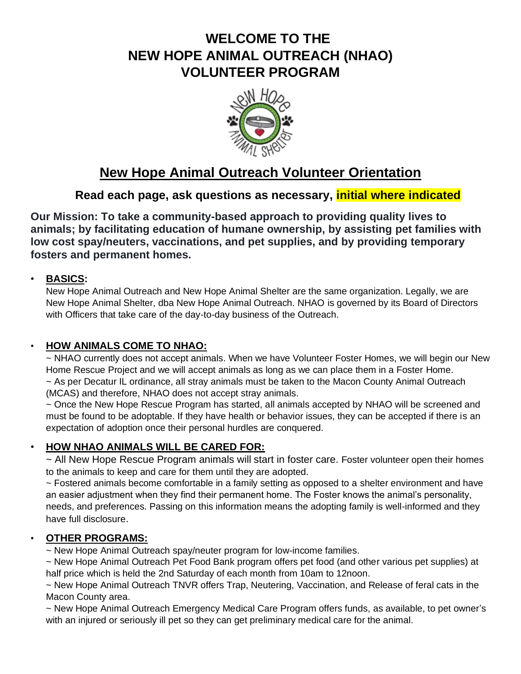# **WELCOME TO THE NEW HOPE ANIMAL OUTREACH (NHAO) VOLUNTEER PROGRAM**



# **New Hope Animal Outreach Volunteer Orientation**

## **Read each page, ask questions as necessary, initial where indicated**

**Our Mission: To take a community-based approach to providing quality lives to animals; by facilitating education of humane ownership, by assisting pet families with low cost spay/neuters, vaccinations, and pet supplies, and by providing temporary fosters and permanent homes.**

#### • **BASICS:**

New Hope Animal Outreach and New Hope Animal Shelter are the same organization. Legally, we are New Hope Animal Shelter, dba New Hope Animal Outreach. NHAO is governed by its Board of Directors with Officers that take care of the day-to-day business of the Outreach.

## • **HOW ANIMALS COME TO NHAO:**

~ NHAO currently does not accept animals. When we have Volunteer Foster Homes, we will begin our New Home Rescue Project and we will accept animals as long as we can place them in a Foster Home. ~ As per Decatur IL ordinance, all stray animals must be taken to the Macon County Animal Outreach (MCAS) and therefore, NHAO does not accept stray animals.

~ Once the New Hope Rescue Program has started, all animals accepted by NHAO will be screened and must be found to be adoptable. If they have health or behavior issues, they can be accepted if there is an expectation of adoption once their personal hurdles are conquered.

## • **HOW NHAO ANIMALS WILL BE CARED FOR:**

~ All New Hope Rescue Program animals will start in foster care. Foster volunteer open their homes to the animals to keep and care for them until they are adopted.

~ Fostered animals become comfortable in a family setting as opposed to a shelter environment and have an easier adjustment when they find their permanent home. The Foster knows the animal's personality, needs, and preferences. Passing on this information means the adopting family is well-informed and they have full disclosure.

## • **OTHER PROGRAMS:**

~ New Hope Animal Outreach spay/neuter program for low-income families.

~ New Hope Animal Outreach Pet Food Bank program offers pet food (and other various pet supplies) at half price which is held the 2nd Saturday of each month from 10am to 12noon.

~ New Hope Animal Outreach TNVR offers Trap, Neutering, Vaccination, and Release of feral cats in the Macon County area.

~ New Hope Animal Outreach Emergency Medical Care Program offers funds, as available, to pet owner's with an injured or seriously ill pet so they can get preliminary medical care for the animal.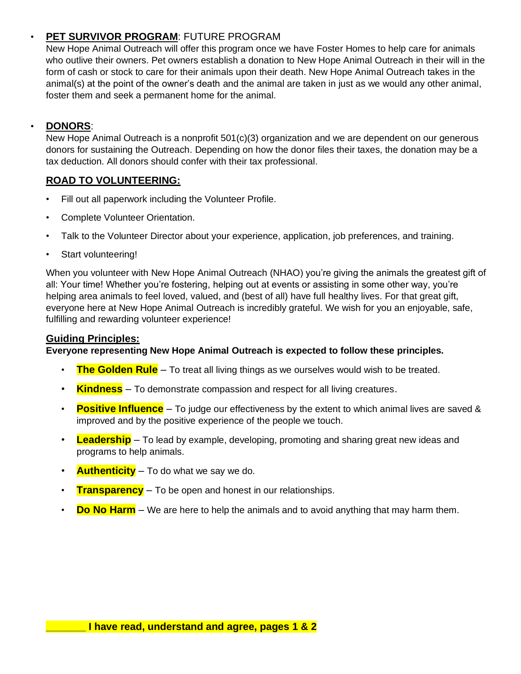## • **PET SURVIVOR PROGRAM**: FUTURE PROGRAM

New Hope Animal Outreach will offer this program once we have Foster Homes to help care for animals who outlive their owners. Pet owners establish a donation to New Hope Animal Outreach in their will in the form of cash or stock to care for their animals upon their death. New Hope Animal Outreach takes in the animal(s) at the point of the owner's death and the animal are taken in just as we would any other animal, foster them and seek a permanent home for the animal.

#### • **DONORS**:

New Hope Animal Outreach is a nonprofit 501(c)(3) organization and we are dependent on our generous donors for sustaining the Outreach. Depending on how the donor files their taxes, the donation may be a tax deduction. All donors should confer with their tax professional.

#### **ROAD TO VOLUNTEERING:**

- Fill out all paperwork including the Volunteer Profile.
- Complete Volunteer Orientation.
- Talk to the Volunteer Director about your experience, application, job preferences, and training.
- Start volunteering!

When you volunteer with New Hope Animal Outreach (NHAO) you're giving the animals the greatest gift of all: Your time! Whether you're fostering, helping out at events or assisting in some other way, you're helping area animals to feel loved, valued, and (best of all) have full healthy lives. For that great gift, everyone here at New Hope Animal Outreach is incredibly grateful. We wish for you an enjoyable, safe, fulfilling and rewarding volunteer experience!

#### **Guiding Principles:**

#### **Everyone representing New Hope Animal Outreach is expected to follow these principles.**

- **The Golden Rule** To treat all living things as we ourselves would wish to be treated.
- **Kindness** To demonstrate compassion and respect for all living creatures.
- **Positive Influence** To judge our effectiveness by the extent to which animal lives are saved & improved and by the positive experience of the people we touch.
- **Leadership** To lead by example, developing, promoting and sharing great new ideas and programs to help animals.
- **Authenticity** To do what we say we do.
- **Transparency** To be open and honest in our relationships.
- **Do No Harm** We are here to help the animals and to avoid anything that may harm them.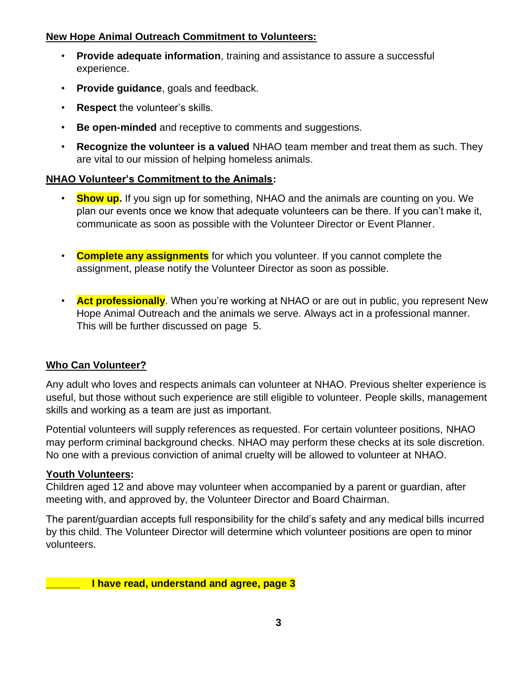#### **New Hope Animal Outreach Commitment to Volunteers:**

- **Provide adequate information**, training and assistance to assure a successful experience.
- **Provide guidance**, goals and feedback.
- **Respect** the volunteer's skills.
- **Be open-minded** and receptive to comments and suggestions.
- **Recognize the volunteer is a valued** NHAO team member and treat them as such. They are vital to our mission of helping homeless animals.

#### **NHAO Volunteer's Commitment to the Animals:**

- **Show up.** If you sign up for something, NHAO and the animals are counting on you. We plan our events once we know that adequate volunteers can be there. If you can't make it, communicate as soon as possible with the Volunteer Director or Event Planner.
- **Complete any assignments** for which you volunteer. If you cannot complete the assignment, please notify the Volunteer Director as soon as possible.
- **Act professionally**. When you're working at NHAO or are out in public, you represent New Hope Animal Outreach and the animals we serve. Always act in a professional manner. This will be further discussed on page 5.

#### **Who Can Volunteer?**

Any adult who loves and respects animals can volunteer at NHAO. Previous shelter experience is useful, but those without such experience are still eligible to volunteer. People skills, management skills and working as a team are just as important.

Potential volunteers will supply references as requested. For certain volunteer positions, NHAO may perform criminal background checks. NHAO may perform these checks at its sole discretion. No one with a previous conviction of animal cruelty will be allowed to volunteer at NHAO.

#### **Youth Volunteers:**

Children aged 12 and above may volunteer when accompanied by a parent or guardian, after meeting with, and approved by, the Volunteer Director and Board Chairman.

The parent/guardian accepts full responsibility for the child's safety and any medical bills incurred by this child. The Volunteer Director will determine which volunteer positions are open to minor volunteers.

**\_\_\_\_\_\_ I have read, understand and agree, page 3**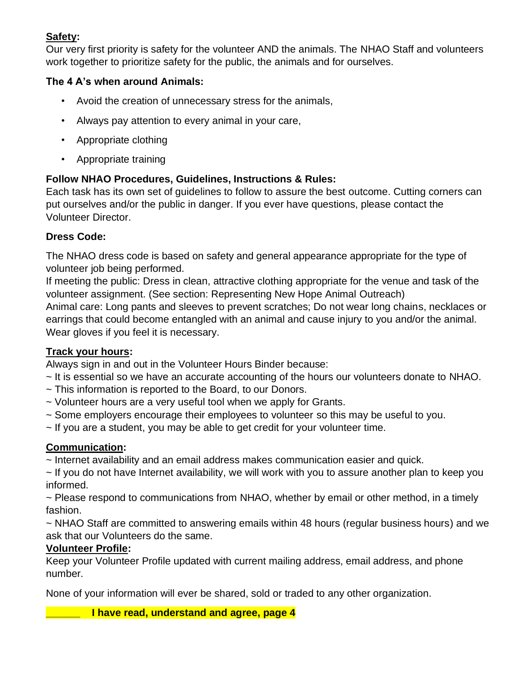## **Safety:**

Our very first priority is safety for the volunteer AND the animals. The NHAO Staff and volunteers work together to prioritize safety for the public, the animals and for ourselves.

## **The 4 A's when around Animals:**

- Avoid the creation of unnecessary stress for the animals,
- Always pay attention to every animal in your care,
- Appropriate clothing
- Appropriate training

## **Follow NHAO Procedures, Guidelines, Instructions & Rules:**

Each task has its own set of guidelines to follow to assure the best outcome. Cutting corners can put ourselves and/or the public in danger. If you ever have questions, please contact the Volunteer Director.

## **Dress Code:**

The NHAO dress code is based on safety and general appearance appropriate for the type of volunteer job being performed.

If meeting the public: Dress in clean, attractive clothing appropriate for the venue and task of the volunteer assignment. (See section: Representing New Hope Animal Outreach)

Animal care: Long pants and sleeves to prevent scratches; Do not wear long chains, necklaces or earrings that could become entangled with an animal and cause injury to you and/or the animal. Wear gloves if you feel it is necessary.

## **Track your hours:**

Always sign in and out in the Volunteer Hours Binder because:

- ~ It is essential so we have an accurate accounting of the hours our volunteers donate to NHAO.
- ~ This information is reported to the Board, to our Donors.
- ~ Volunteer hours are a very useful tool when we apply for Grants.
- ~ Some employers encourage their employees to volunteer so this may be useful to you.
- ~ If you are a student, you may be able to get credit for your volunteer time.

## **Communication:**

~ Internet availability and an email address makes communication easier and quick.

~ If you do not have Internet availability, we will work with you to assure another plan to keep you informed.

~ Please respond to communications from NHAO, whether by email or other method, in a timely fashion.

~ NHAO Staff are committed to answering emails within 48 hours (regular business hours) and we ask that our Volunteers do the same.

#### **Volunteer Profile:**

Keep your Volunteer Profile updated with current mailing address, email address, and phone number.

None of your information will ever be shared, sold or traded to any other organization.

**\_\_\_\_\_\_ I have read, understand and agree, page 4**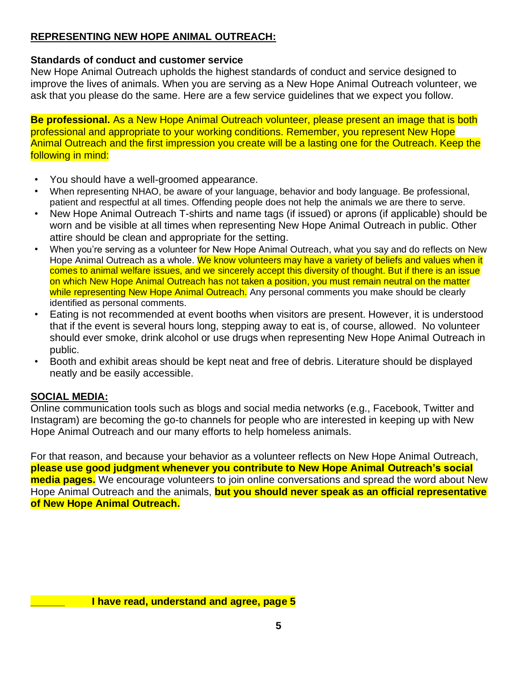## **REPRESENTING NEW HOPE ANIMAL OUTREACH:**

## **Standards of conduct and customer service**

New Hope Animal Outreach upholds the highest standards of conduct and service designed to improve the lives of animals. When you are serving as a New Hope Animal Outreach volunteer, we ask that you please do the same. Here are a few service guidelines that we expect you follow.

**Be professional.** As a New Hope Animal Outreach volunteer, please present an image that is both professional and appropriate to your working conditions. Remember, you represent New Hope Animal Outreach and the first impression you create will be a lasting one for the Outreach. Keep the following in mind:

- You should have a well-groomed appearance.
- When representing NHAO, be aware of your language, behavior and body language. Be professional, patient and respectful at all times. Offending people does not help the animals we are there to serve.
- New Hope Animal Outreach T-shirts and name tags (if issued) or aprons (if applicable) should be worn and be visible at all times when representing New Hope Animal Outreach in public. Other attire should be clean and appropriate for the setting.
- When you're serving as a volunteer for New Hope Animal Outreach, what you say and do reflects on New Hope Animal Outreach as a whole. We know volunteers may have a variety of beliefs and values when it comes to animal welfare issues, and we sincerely accept this diversity of thought. But if there is an issue on which New Hope Animal Outreach has not taken a position, you must remain neutral on the matter while representing New Hope Animal Outreach. Any personal comments you make should be clearly identified as personal comments.
- Eating is not recommended at event booths when visitors are present. However, it is understood that if the event is several hours long, stepping away to eat is, of course, allowed. No volunteer should ever smoke, drink alcohol or use drugs when representing New Hope Animal Outreach in public.
- Booth and exhibit areas should be kept neat and free of debris. Literature should be displayed neatly and be easily accessible.

## **SOCIAL MEDIA:**

Online communication tools such as blogs and social media networks (e.g., Facebook, Twitter and Instagram) are becoming the go-to channels for people who are interested in keeping up with New Hope Animal Outreach and our many efforts to help homeless animals.

For that reason, and because your behavior as a volunteer reflects on New Hope Animal Outreach, **please use good judgment whenever you contribute to New Hope Animal Outreach's social media pages.** We encourage volunteers to join online conversations and spread the word about New Hope Animal Outreach and the animals, **but you should never speak as an official representative of New Hope Animal Outreach.**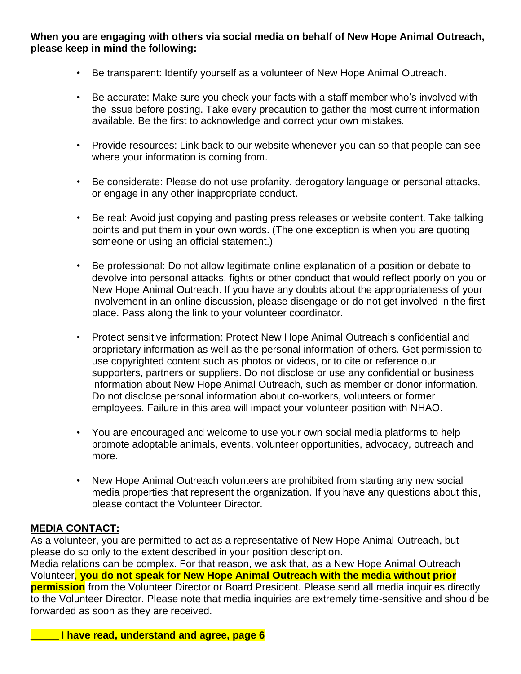**When you are engaging with others via social media on behalf of New Hope Animal Outreach, please keep in mind the following:** 

- Be transparent: Identify yourself as a volunteer of New Hope Animal Outreach.
- Be accurate: Make sure you check your facts with a staff member who's involved with the issue before posting. Take every precaution to gather the most current information available. Be the first to acknowledge and correct your own mistakes.
- Provide resources: Link back to our website whenever you can so that people can see where your information is coming from.
- Be considerate: Please do not use profanity, derogatory language or personal attacks, or engage in any other inappropriate conduct.
- Be real: Avoid just copying and pasting press releases or website content. Take talking points and put them in your own words. (The one exception is when you are quoting someone or using an official statement.)
- Be professional: Do not allow legitimate online explanation of a position or debate to devolve into personal attacks, fights or other conduct that would reflect poorly on you or New Hope Animal Outreach. If you have any doubts about the appropriateness of your involvement in an online discussion, please disengage or do not get involved in the first place. Pass along the link to your volunteer coordinator.
- Protect sensitive information: Protect New Hope Animal Outreach's confidential and proprietary information as well as the personal information of others. Get permission to use copyrighted content such as photos or videos, or to cite or reference our supporters, partners or suppliers. Do not disclose or use any confidential or business information about New Hope Animal Outreach, such as member or donor information. Do not disclose personal information about co-workers, volunteers or former employees. Failure in this area will impact your volunteer position with NHAO.
- You are encouraged and welcome to use your own social media platforms to help promote adoptable animals, events, volunteer opportunities, advocacy, outreach and more.
- New Hope Animal Outreach volunteers are prohibited from starting any new social media properties that represent the organization. If you have any questions about this, please contact the Volunteer Director.

#### **MEDIA CONTACT:**

As a volunteer, you are permitted to act as a representative of New Hope Animal Outreach, but please do so only to the extent described in your position description. Media relations can be complex. For that reason, we ask that, as a New Hope Animal Outreach Volunteer, **you do not speak for New Hope Animal Outreach with the media without prior permission** from the Volunteer Director or Board President. Please send all media inquiries directly to the Volunteer Director. Please note that media inquiries are extremely time-sensitive and should be forwarded as soon as they are received.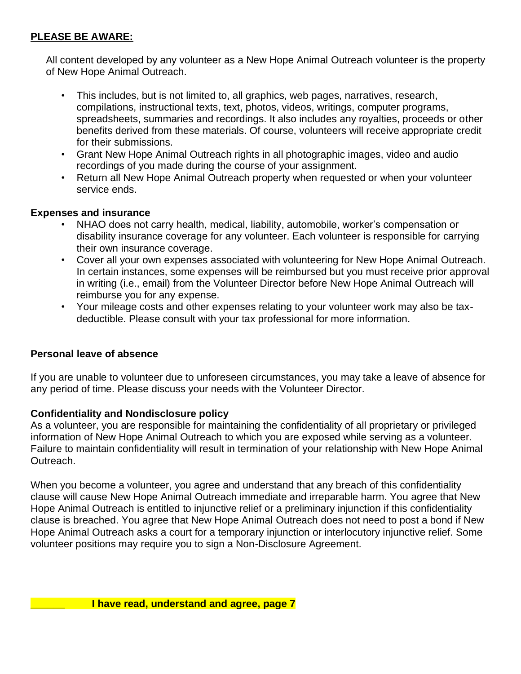## **PLEASE BE AWARE:**

All content developed by any volunteer as a New Hope Animal Outreach volunteer is the property of New Hope Animal Outreach.

- This includes, but is not limited to, all graphics, web pages, narratives, research, compilations, instructional texts, text, photos, videos, writings, computer programs, spreadsheets, summaries and recordings. It also includes any royalties, proceeds or other benefits derived from these materials. Of course, volunteers will receive appropriate credit for their submissions.
- Grant New Hope Animal Outreach rights in all photographic images, video and audio recordings of you made during the course of your assignment.
- Return all New Hope Animal Outreach property when requested or when your volunteer service ends.

#### **Expenses and insurance**

- NHAO does not carry health, medical, liability, automobile, worker's compensation or disability insurance coverage for any volunteer. Each volunteer is responsible for carrying their own insurance coverage.
- Cover all your own expenses associated with volunteering for New Hope Animal Outreach. In certain instances, some expenses will be reimbursed but you must receive prior approval in writing (i.e., email) from the Volunteer Director before New Hope Animal Outreach will reimburse you for any expense.
- Your mileage costs and other expenses relating to your volunteer work may also be taxdeductible. Please consult with your tax professional for more information.

#### **Personal leave of absence**

If you are unable to volunteer due to unforeseen circumstances, you may take a leave of absence for any period of time. Please discuss your needs with the Volunteer Director.

#### **Confidentiality and Nondisclosure policy**

As a volunteer, you are responsible for maintaining the confidentiality of all proprietary or privileged information of New Hope Animal Outreach to which you are exposed while serving as a volunteer. Failure to maintain confidentiality will result in termination of your relationship with New Hope Animal Outreach.

When you become a volunteer, you agree and understand that any breach of this confidentiality clause will cause New Hope Animal Outreach immediate and irreparable harm. You agree that New Hope Animal Outreach is entitled to injunctive relief or a preliminary injunction if this confidentiality clause is breached. You agree that New Hope Animal Outreach does not need to post a bond if New Hope Animal Outreach asks a court for a temporary injunction or interlocutory injunctive relief. Some volunteer positions may require you to sign a Non-Disclosure Agreement.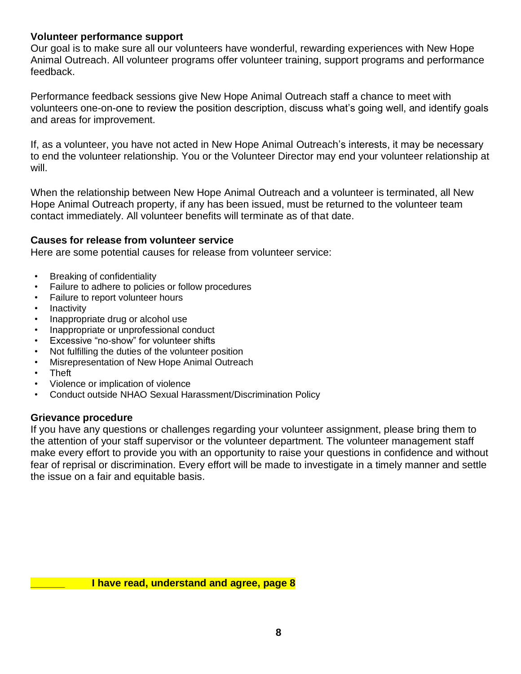#### **Volunteer performance support**

Our goal is to make sure all our volunteers have wonderful, rewarding experiences with New Hope Animal Outreach. All volunteer programs offer volunteer training, support programs and performance feedback.

Performance feedback sessions give New Hope Animal Outreach staff a chance to meet with volunteers one-on-one to review the position description, discuss what's going well, and identify goals and areas for improvement.

If, as a volunteer, you have not acted in New Hope Animal Outreach's interests, it may be necessary to end the volunteer relationship. You or the Volunteer Director may end your volunteer relationship at will.

When the relationship between New Hope Animal Outreach and a volunteer is terminated, all New Hope Animal Outreach property, if any has been issued, must be returned to the volunteer team contact immediately. All volunteer benefits will terminate as of that date.

#### **Causes for release from volunteer service**

Here are some potential causes for release from volunteer service:

- Breaking of confidentiality
- Failure to adhere to policies or follow procedures
- Failure to report volunteer hours
- **Inactivity**
- Inappropriate drug or alcohol use
- Inappropriate or unprofessional conduct
- Excessive "no-show" for volunteer shifts
- Not fulfilling the duties of the volunteer position
- Misrepresentation of New Hope Animal Outreach
- Theft
- Violence or implication of violence
- Conduct outside NHAO Sexual Harassment/Discrimination Policy

#### **Grievance procedure**

If you have any questions or challenges regarding your volunteer assignment, please bring them to the attention of your staff supervisor or the volunteer department. The volunteer management staff make every effort to provide you with an opportunity to raise your questions in confidence and without fear of reprisal or discrimination. Every effort will be made to investigate in a timely manner and settle the issue on a fair and equitable basis.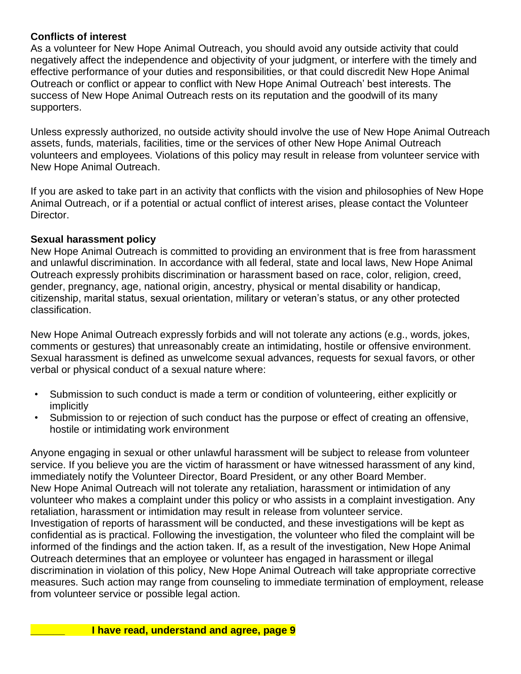#### **Conflicts of interest**

As a volunteer for New Hope Animal Outreach, you should avoid any outside activity that could negatively affect the independence and objectivity of your judgment, or interfere with the timely and effective performance of your duties and responsibilities, or that could discredit New Hope Animal Outreach or conflict or appear to conflict with New Hope Animal Outreach' best interests. The success of New Hope Animal Outreach rests on its reputation and the goodwill of its many supporters.

Unless expressly authorized, no outside activity should involve the use of New Hope Animal Outreach assets, funds, materials, facilities, time or the services of other New Hope Animal Outreach volunteers and employees. Violations of this policy may result in release from volunteer service with New Hope Animal Outreach.

If you are asked to take part in an activity that conflicts with the vision and philosophies of New Hope Animal Outreach, or if a potential or actual conflict of interest arises, please contact the Volunteer Director.

#### **Sexual harassment policy**

New Hope Animal Outreach is committed to providing an environment that is free from harassment and unlawful discrimination. In accordance with all federal, state and local laws, New Hope Animal Outreach expressly prohibits discrimination or harassment based on race, color, religion, creed, gender, pregnancy, age, national origin, ancestry, physical or mental disability or handicap, citizenship, marital status, sexual orientation, military or veteran's status, or any other protected classification.

New Hope Animal Outreach expressly forbids and will not tolerate any actions (e.g., words, jokes, comments or gestures) that unreasonably create an intimidating, hostile or offensive environment. Sexual harassment is defined as unwelcome sexual advances, requests for sexual favors, or other verbal or physical conduct of a sexual nature where:

- Submission to such conduct is made a term or condition of volunteering, either explicitly or implicitly
- Submission to or rejection of such conduct has the purpose or effect of creating an offensive, hostile or intimidating work environment

Anyone engaging in sexual or other unlawful harassment will be subject to release from volunteer service. If you believe you are the victim of harassment or have witnessed harassment of any kind, immediately notify the Volunteer Director, Board President, or any other Board Member. New Hope Animal Outreach will not tolerate any retaliation, harassment or intimidation of any volunteer who makes a complaint under this policy or who assists in a complaint investigation. Any retaliation, harassment or intimidation may result in release from volunteer service. Investigation of reports of harassment will be conducted, and these investigations will be kept as confidential as is practical. Following the investigation, the volunteer who filed the complaint will be informed of the findings and the action taken. If, as a result of the investigation, New Hope Animal Outreach determines that an employee or volunteer has engaged in harassment or illegal discrimination in violation of this policy, New Hope Animal Outreach will take appropriate corrective measures. Such action may range from counseling to immediate termination of employment, release from volunteer service or possible legal action.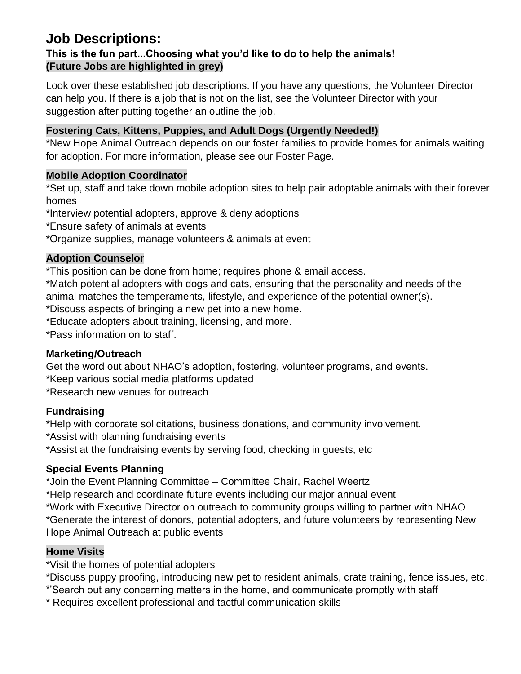## **Job Descriptions:**

## **This is the fun part...Choosing what you'd like to do to help the animals! (Future Jobs are highlighted in grey)**

Look over these established job descriptions. If you have any questions, the Volunteer Director can help you. If there is a job that is not on the list, see the Volunteer Director with your suggestion after putting together an outline the job.

## **Fostering Cats, Kittens, Puppies, and Adult Dogs (Urgently Needed!)**

\*New Hope Animal Outreach depends on our foster families to provide homes for animals waiting for adoption. For more information, please see our Foster Page.

#### **Mobile Adoption Coordinator**

\*Set up, staff and take down mobile adoption sites to help pair adoptable animals with their forever homes

\*Interview potential adopters, approve & deny adoptions

\*Ensure safety of animals at events

\*Organize supplies, manage volunteers & animals at event

#### **Adoption Counselor**

\*This position can be done from home; requires phone & email access.

\*Match potential adopters with dogs and cats, ensuring that the personality and needs of the animal matches the temperaments, lifestyle, and experience of the potential owner(s).

\*Discuss aspects of bringing a new pet into a new home.

\*Educate adopters about training, licensing, and more.

\*Pass information on to staff.

#### **Marketing/Outreach**

Get the word out about NHAO's adoption, fostering, volunteer programs, and events.

\*Keep various social media platforms updated

\*Research new venues for outreach

#### **Fundraising**

\*Help with corporate solicitations, business donations, and community involvement.

\*Assist with planning fundraising events

\*Assist at the fundraising events by serving food, checking in guests, etc

## **Special Events Planning**

\*Join the Event Planning Committee – Committee Chair, Rachel Weertz

\*Help research and coordinate future events including our major annual event

\*Work with Executive Director on outreach to community groups willing to partner with NHAO \*Generate the interest of donors, potential adopters, and future volunteers by representing New Hope Animal Outreach at public events

## **Home Visits**

\*Visit the homes of potential adopters

\*Discuss puppy proofing, introducing new pet to resident animals, crate training, fence issues, etc. \*'Search out any concerning matters in the home, and communicate promptly with staff

\* Requires excellent professional and tactful communication skills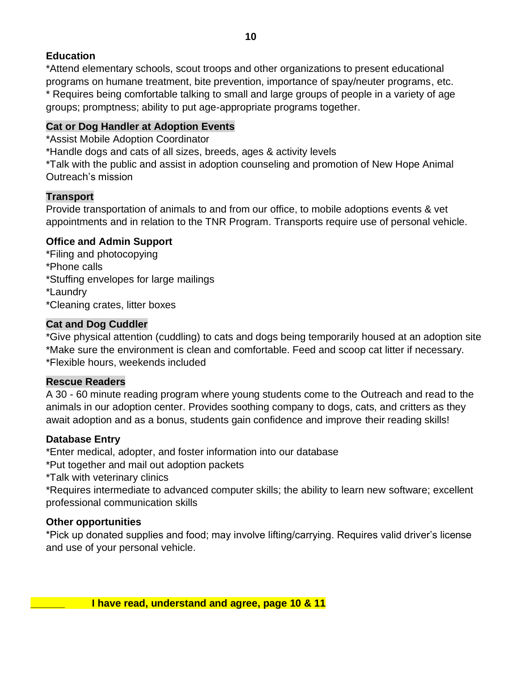## **Education**

\*Attend elementary schools, scout troops and other organizations to present educational programs on humane treatment, bite prevention, importance of spay/neuter programs, etc. \* Requires being comfortable talking to small and large groups of people in a variety of age groups; promptness; ability to put age-appropriate programs together.

#### **Cat or Dog Handler at Adoption Events**

\*Assist Mobile Adoption Coordinator

\*Handle dogs and cats of all sizes, breeds, ages & activity levels

\*Talk with the public and assist in adoption counseling and promotion of New Hope Animal Outreach's mission

#### **Transport**

Provide transportation of animals to and from our office, to mobile adoptions events & vet appointments and in relation to the TNR Program. Transports require use of personal vehicle.

#### **Office and Admin Support**

- \*Filing and photocopying \*Phone calls
- \*Stuffing envelopes for large mailings

\*Laundry

\*Cleaning crates, litter boxes

#### **Cat and Dog Cuddler**

\*Give physical attention (cuddling) to cats and dogs being temporarily housed at an adoption site \*Make sure the environment is clean and comfortable. Feed and scoop cat litter if necessary. \*Flexible hours, weekends included

#### **Rescue Readers**

A 30 - 60 minute reading program where young students come to the Outreach and read to the animals in our adoption center. Provides soothing company to dogs, cats, and critters as they await adoption and as a bonus, students gain confidence and improve their reading skills!

#### **Database Entry**

\*Enter medical, adopter, and foster information into our database

\*Put together and mail out adoption packets

\*Talk with veterinary clinics

\*Requires intermediate to advanced computer skills; the ability to learn new software; excellent professional communication skills

#### **Other opportunities**

\*Pick up donated supplies and food; may involve lifting/carrying. Requires valid driver's license and use of your personal vehicle.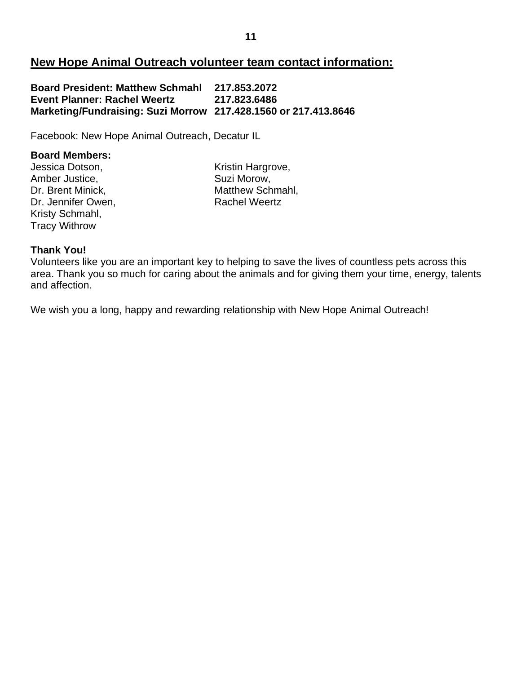## **New Hope Animal Outreach volunteer team contact information:**

**Board President: Matthew Schmahl 217.853.2072 Event Planner: Rachel Weertz Marketing/Fundraising: Suzi Morrow 217.428.1560 or 217.413.8646**

Facebook: New Hope Animal Outreach, Decatur IL

#### **Board Members:**

Jessica Dotson, The Contract Contract Contract Contract Contract Contract Contract Contract Contract Contract Contract Contract Contract Contract Contract Contract Contract Contract Contract Contract Contract Contract Cont Amber Justice, Suzi Morow, Dr. Jennifer Owen, Nachel Weertz Kristy Schmahl, Tracy Withrow

Dr. Brent Minick. Matthew Schmahl,

#### **Thank You!**

Volunteers like you are an important key to helping to save the lives of countless pets across this area. Thank you so much for caring about the animals and for giving them your time, energy, talents and affection.

We wish you a long, happy and rewarding relationship with New Hope Animal Outreach!